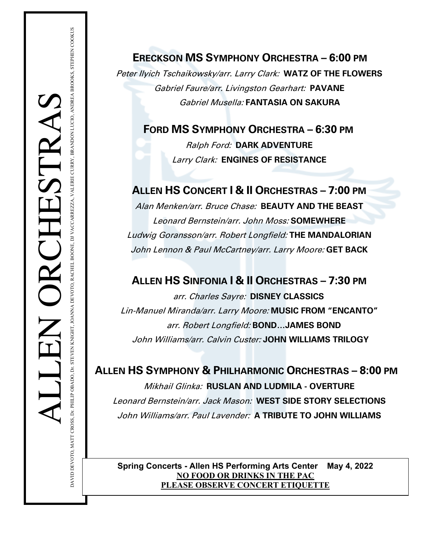Peter Ilyich Tschaikowsky/arr. Larry Clark: **WATZ OF THE FLOWERS** Gabriel Faure/arr. Livingston Gearhart: **PAVANE** Gabriel Musella: **FANTASIA ON SAKURA**

 **FORD MS SYMPHONY ORCHESTRA – 6:30 PM**

Ralph Ford: **DARK ADVENTURE** Larry Clark: **ENGINES OF RESISTANCE**

# **ALLEN HS CONCERT I & II ORCHESTRAS – 7:00 PM**

Alan Menken/arr. Bruce Chase: **BEAUTY AND THE BEAST** Leonard Bernstein/arr. John Moss: **SOMEWHERE** Ludwig Goransson/arr. Robert Longfield: **THE MANDALORIAN** John Lennon & Paul McCartney/arr. Larry Moore: **GET BACK**

# **ALLEN HS SINFONIA I & II ORCHESTRAS – 7:30 PM**

**ERECKSON MS SYMPHONY ORCHESTRA – 6:00 PM**<br> *Peter livich Tschaikowskyar. Larry Claric WATZ OF THE FLOW<br>
Gabriel Muselle: FANTASIA ON SAKURA<br>
FORD MS SYMPHONY ORCHESTRA – 6:30 PM<br>
Alto Muselle: FANTASIA ON SAKURA<br>
FORD MS*  arr. Charles Sayre: **DISNEY CLASSICS** Lin-Manuel Miranda/arr. Larry Moore: **MUSIC FROM "ENCANTO"** arr. Robert Longfield: **BOND…JAMES BOND** John Williams/arr. Calvin Custer: **JOHN WILLIAMS TRILOGY**

 **ALLEN HS SYMPHONY & PHILHARMONIC ORCHESTRAS – 8:00 PM**

Mikhail Glinka: **RUSLAN AND LUDMILA - OVERTURE** Leonard Bernstein/arr. Jack Mason: **WEST SIDE STORY SELECTIONS** John Williams/arr. Paul Lavender: **A TRIBUTE TO JOHN WILLIAMS**

**Spring Concerts - Allen HS Performing Arts Center May 4, 2022 NO FOOD OR DRINKS IN THE PAC PLEASE OBSERVE CONCERT ETIQUETTE**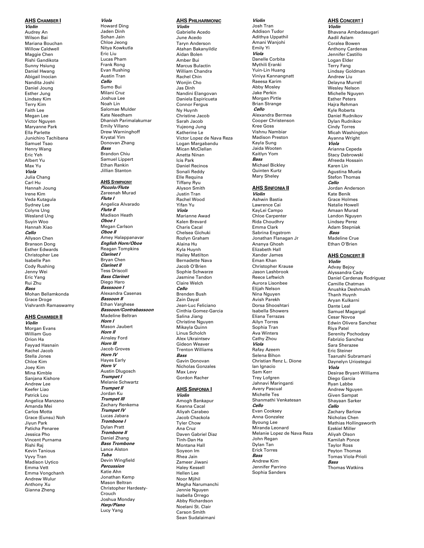#### **AHS CHAMBER I**

**Violin** Audrey An Wilson Bai Mariana Bouchan Willow Caldwell Maggie Chen Rishi Gandikota Sunny Hsiung Daniel Hwang Abigail Inocian Nandita Joshi Daniel Joung Esther Jung Lindsey Kim Terry Kim Faith Lee Megan Lee Victor Nguyen Maryanne Park Ella Parlette Junichiro Tachibana Samuel Tsao Henry Wang Eric Yeh Albert Yu Max Yu **Viola** Julia Chang Carl Hu Hannah Joung Irene Kim Veda Kutagula Sydney Lee Colyns Ung Wesland Ung Suyin Woo Hannah Xiao **Cello** Allyson Chen Branson Dong Esther Edwards Christopher Lee Isabelle Pan Cody Rushing Jenny Wei Eric Yang Rui Zhu **Bass** Mohan Bellamkonda Grace Droge Vishranth Ramaswamy

### **AHS CHAMBER II**

**Violin** Morgan Evans William Guo Orion Ha Fayyad Hasnain Rachel Jacob Stella Jones Chloe Kim Joey Kim Mina Kimble Sanjana Kishore Andrew Lee Keefer Liao Patrick Lou Angelica Manzano Amanda Mei Carlos Motta Grace (Eunsu) Noh Jiyun Park Paticha Penaree Jessica Pho Vincent Purnama Rishi Raj Kevin Tanious Vyvy Tran Madison Uytico Emma Vett Emma Vongchanh Andrew Wulur Anthony Xu Gianna Zheng

Howard Ding Jaden Dinh Sohan Jain Chloe Jeong Nitya Kowkutla Eric Liu Lucas Pham Frank Rong Evan Rushing Austin Tran **Cello** Sumo Bui Milani Cruz Joshua Lee Noah Lin Salomae Mulder Kate Needham Dhanish Parimalakumar Emily Villano Drew Warninghoff Krystal Yim Donovan Zhang **Bass** Brandon Chiu Samuel Lippert Ethan Rankin Jillian Stanton

**Viola**

### **AHS SYMPHONY**

**Piccolo/Flute** Zareenah Murad **Flute I** Angelica Alvarado **Flute II** Madison Heath **Oboe I** Megan Carlson **Oboe II** Amey Halappanavar **English Horn/Oboe** Reagan Tompkins **Clarinet I** Bryan Chen **Clarinet II** Tess Driscoll **Bass Clarinet** Diego Haro **Basssoon I** Alexandra Casenas **Bassoon II** Ethan Varghese **Bassoon/Contrabassoon** Madeline Beltran **Horn I** Mason Jaubert **Horn II** Ainsley Ford **Horn III** Jacob Groves **Horn IV** Hayes Early **Horn V** Austin Dlugosch **Trumpet I** Melanie Schwartz **Trumpet II** Jordan Ku **Trumpet III** Zachary Renkema **Trumpet IV** Lucas Jabara **Trombone I** Dylan Pratt **Trombone II** Daniel Zhang **Bass Trombone** Lance Alston **Tuba** Devin Wingfield **Percussion** Katie Ahn Jonathan Kemp Mason Beltran Christopher Hardesty - Crouch Joshua Monday **Harp/Piano** Lucy Yang

#### **AHS PHILHARMONIC Violin**

Gabrielle Acedo June Acedo Taryn Anderson Atahan Bakanyildiz Aidan Bolen Amber Bui Marcus Bulactin William Chandra Rachel Chin Wonjin Cho Jas Dinh Nandini Elangovan Daniela Espiricueta Connor Fergus Ny Huynh Christine Jacob Sarah Jacob Yujeong Jung Katherine Le Victor Lopez de Nava Reza Logan Margabandu Mican McClellan Anetta Ninan Icis Park Daniel Recinos Sonali Reddy Elle Requina Tiffany Ryu Alyson Smith Justin Tran Rachel Wood Yifan Yu **Viola** Marianne Awad Kalen Brevard Charis Cacal Chelsea Gichuki Rozlyn Graham Alaina Hu Kyla Huynh Hailey Matilton Bernadette Nava Jacob O'Brien Sophie Schwarze Jasmine Tandon Claire Welch **Cello** Brenden Bush Zain Dayal Jean -Luc Feliciano Cinthia Gomez -Garcia Salina Jiang Christine Nguyen Mikayla Quinn Linus Scholch Alex Ukraintsev Gideon Weaver Trenton Williams **Bass** Gavin Donovan Nicholas Gonzales Max Levy Gordon Racher

# **AHS SINFONIA I**

**Violin** Amogh Bankapur Keanna Cacal Aliyah Carabeo Jacob Chackola Tyler Chow Ana Cruz Daven Gabriel Diaz Tinh -Dan Ha Montana Hall Soyeon Im Rhea Jain Zameer Jiwani Haley Kessell Hellen Lee Noor Mjihil Megha Narumanchi Jennie Nguyen Isabella Orrego Abby Richardson Noelani St. Clair Carson Smith Sean Sudalaimani

# **Violin**

Josh Tran Addison Tudor Adithya Uppathil Amani Wanjohi Emily Yi **Viola** Danelle Corbita Mythili Eranki Yuin -Lin Huang Viniya Kannangnatt Raeesa Karim Abby Mosley Jake Perkin Morgan Pirtle Brian Strange **Cello** Alexandra Bermea Cooper Christenson Kree Goss Vishnu Nambiar Madison Preston Kayla Sung Jaida Wooten Kaitlyn Yom **Bass** Michael Bickley Quinten Kurtz Mary Sheley

#### **AHS SINFONIA I I Violin**

Ashwin Bastia Lawrence Cai KayLei Campo Chloe Carpenter Rida Choudhry Emma Clark Sabrina Engstrom Jonathan Flanagan Jr Ananya Ghosh Elizabeth Hall Xander James Eman Khan Christopher Krause Jason Lashbrook Reece Leftwich Aurora Lisonbee Elijah Nelson Nina Nguyen Avish Parekh Dorsa Shooshtari Isabella Showers Eliana Terrazas Ailyn Torres Sophia Tran Ava Winters Cathy Zhou **Viola** Rafay Azeem Selena Bihon Christian Renz L. Dione Ian Ignacio Sam Kerr Trey Lofgren Jahnavi Maringanti Avery Pascual Michelle Tes Shanmathi Venkatesan **Cello** Evan Cooksey Anna Gonzalez Byoung Lee Miranda Leonard Melanie Lopez de Nava Reza John Regan Dylan Tan Erick Torres **Bass** Andrew Kim Jennifer Parrino Sophia Sanders

#### **AHS CONCERT I Violin**

Bhavana Ambadasugari Aadil Aslam Coralea Bowen Anthony Cardenas Jennifer Castillo Logan Elder Terry Fang Lindsay Goldman Andrew Liu Delayna Murrell Wesley Nelson Michelle Nguyen Esther Peters Hajra Rehman Kyle Roberts Daniel Rudnikov Dylan Rudnikov Cindy Torres Micah Washington Ayanna Wright **Viola** Arianna Cepeda Stacy Dabrowski Afreeda Hossain Karen Lin Agustina Muel a Stefon Thomas **Cello** Jordan Anderson Kate Benik Grace Holmes Natalie Howell Amaan Murad Landon Nguyen Lindsey Perez Adam Stepniak **Bass** Madeline Crue Ethan O'Brien

## **AHS CONCERT II**

**Violin** Advay Bejoy Alyssandra Cady Daniel Cardenas Rodriguez Camille Chatman Anushka Deshmukh Thanh Huynh Aryan Kulkarni Dante Leal Samuel Magargal Cesar Novoa Edwin Olivera Sanchez Riya Patel Serenity Pochodzay Fabrizio Sanchez Sara Sherazee Eric Steiner Taarushi Subramani Daynelyn Uriostegui **Viola** Desirae Bryant -Williams Diego Garcia Ryan Labbe Andrew Nguyen Given Sampat Shayaan Sarker **Cello** Zachary Barlow Nicholas Chen Mathias Hollingsworth Ezekiel Miller Aliyah Olson Kamilah Ponce Taylor Ross Peyton Thomas Tomas Viola -Prioli **Bass** Thomas Watkins